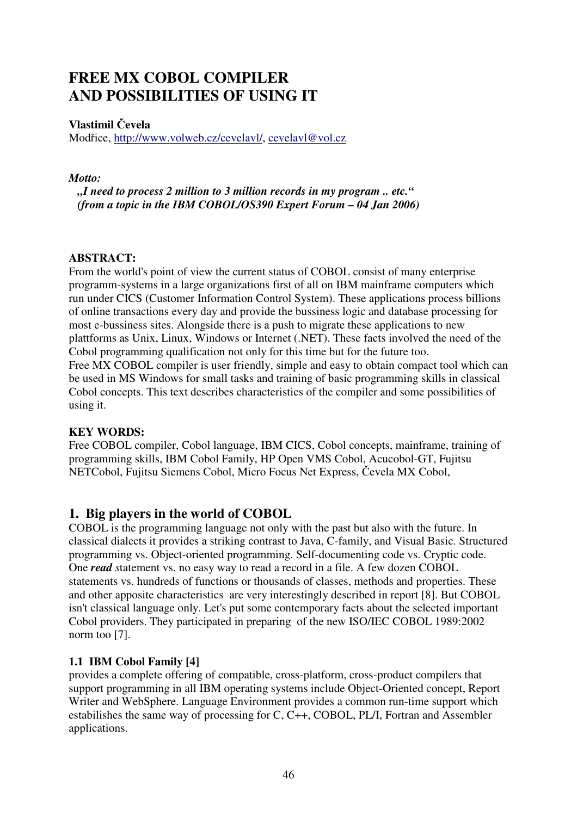# **FREE MX COBOL COMPILER AND POSSIBILITIES OF USING IT**

## **Vlastimil** Č**evela**

Modřice, http://www.volweb.cz/cevelavl/, cevelavl@vol.cz

#### *Motto:*

 *"I need to process 2 million to 3 million records in my program .. etc." (from a topic in the IBM COBOL/OS390 Expert Forum – 04 Jan 2006)* 

#### **ABSTRACT:**

From the world's point of view the current status of COBOL consist of many enterprise programm-systems in a large organizations first of all on IBM mainframe computers which run under CICS (Customer Information Control System). These applications process billions of online transactions every day and provide the bussiness logic and database processing for most e-bussiness sites. Alongside there is a push to migrate these applications to new plattforms as Unix, Linux, Windows or Internet (.NET). These facts involved the need of the Cobol programming qualification not only for this time but for the future too. Free MX COBOL compiler is user friendly, simple and easy to obtain compact tool which can be used in MS Windows for small tasks and training of basic programming skills in classical Cobol concepts. This text describes characteristics of the compiler and some possibilities of using it.

#### **KEY WORDS:**

Free COBOL compiler, Cobol language, IBM CICS, Cobol concepts, mainframe, training of programming skills, IBM Cobol Family, HP Open VMS Cobol, Acucobol-GT, Fujitsu NETCobol, Fujitsu Siemens Cobol, Micro Focus Net Express, Čevela MX Cobol,

# **1. Big players in the world of COBOL**

COBOL is the programming language not only with the past but also with the future. In classical dialects it provides a striking contrast to Java, C-family, and Visual Basic. Structured programming vs. Object-oriented programming. Self-documenting code vs. Cryptic code. One *read s*tatement vs. no easy way to read a record in a file. A few dozen COBOL statements vs. hundreds of functions or thousands of classes, methods and properties. These and other apposite characteristics are very interestingly described in report [8]. But COBOL isn't classical language only. Let's put some contemporary facts about the selected important Cobol providers. They participated in preparing of the new ISO/IEC COBOL 1989:2002 norm too [7].

## **1.1 IBM Cobol Family [4]**

provides a complete offering of compatible, cross-platform, cross-product compilers that support programming in all IBM operating systems include Object-Oriented concept, Report Writer and WebSphere. Language Environment provides a common run-time support which estabilishes the same way of processing for C, C++, COBOL, PL/I, Fortran and Assembler applications.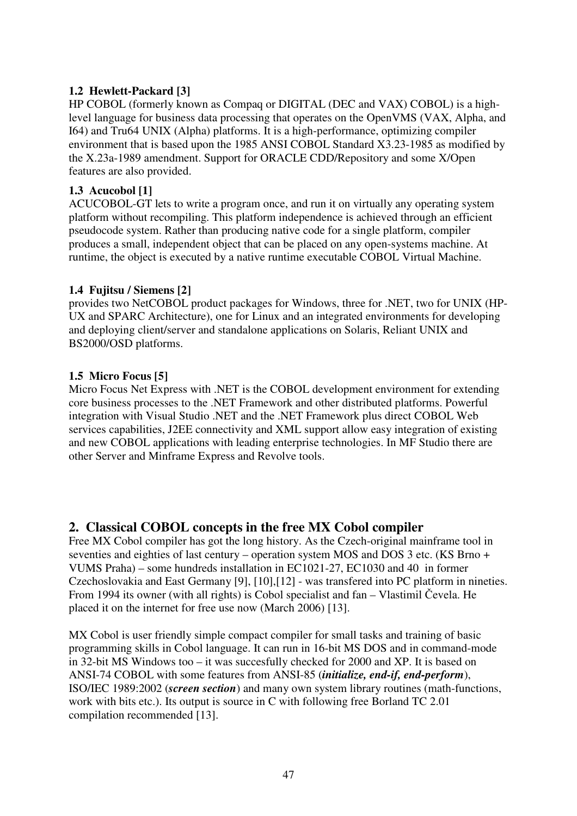## **1.2 Hewlett-Packard [3]**

HP COBOL (formerly known as Compaq or DIGITAL (DEC and VAX) COBOL) is a highlevel language for business data processing that operates on the OpenVMS (VAX, Alpha, and I64) and Tru64 UNIX (Alpha) platforms. It is a high-performance, optimizing compiler environment that is based upon the 1985 ANSI COBOL Standard X3.23-1985 as modified by the X.23a-1989 amendment. Support for ORACLE CDD/Repository and some X/Open features are also provided.

#### **1.3 Acucobol [1]**

ACUCOBOL-GT lets to write a program once, and run it on virtually any operating system platform without recompiling. This platform independence is achieved through an efficient pseudocode system. Rather than producing native code for a single platform, compiler produces a small, independent object that can be placed on any open-systems machine. At runtime, the object is executed by a native runtime executable COBOL Virtual Machine.

#### **1.4 Fujitsu / Siemens [2]**

provides two NetCOBOL product packages for Windows, three for .NET, two for UNIX (HP-UX and SPARC Architecture), one for Linux and an integrated environments for developing and deploying client/server and standalone applications on Solaris, Reliant UNIX and BS2000/OSD platforms.

#### **1.5 Micro Focus [5]**

Micro Focus Net Express with .NET is the COBOL development environment for extending core business processes to the .NET Framework and other distributed platforms. Powerful integration with Visual Studio .NET and the .NET Framework plus direct COBOL Web services capabilities, J2EE connectivity and XML support allow easy integration of existing and new COBOL applications with leading enterprise technologies. In MF Studio there are other Server and Minframe Express and Revolve tools.

## **2. Classical COBOL concepts in the free MX Cobol compiler**

Free MX Cobol compiler has got the long history. As the Czech-original mainframe tool in seventies and eighties of last century – operation system MOS and DOS 3 etc. (KS Brno + VUMS Praha) – some hundreds installation in EC1021-27, EC1030 and 40 in former Czechoslovakia and East Germany [9], [10],[12] - was transfered into PC platform in nineties. From 1994 its owner (with all rights) is Cobol specialist and fan – Vlastimil Čevela. He placed it on the internet for free use now (March 2006) [13].

MX Cobol is user friendly simple compact compiler for small tasks and training of basic programming skills in Cobol language. It can run in 16-bit MS DOS and in command-mode in 32-bit MS Windows too – it was succesfully checked for 2000 and XP. It is based on ANSI-74 COBOL with some features from ANSI-85 (*initialize, end-if, end-perform*), ISO/IEC 1989:2002 (*screen section*) and many own system library routines (math-functions, work with bits etc.). Its output is source in C with following free Borland TC 2.01 compilation recommended [13].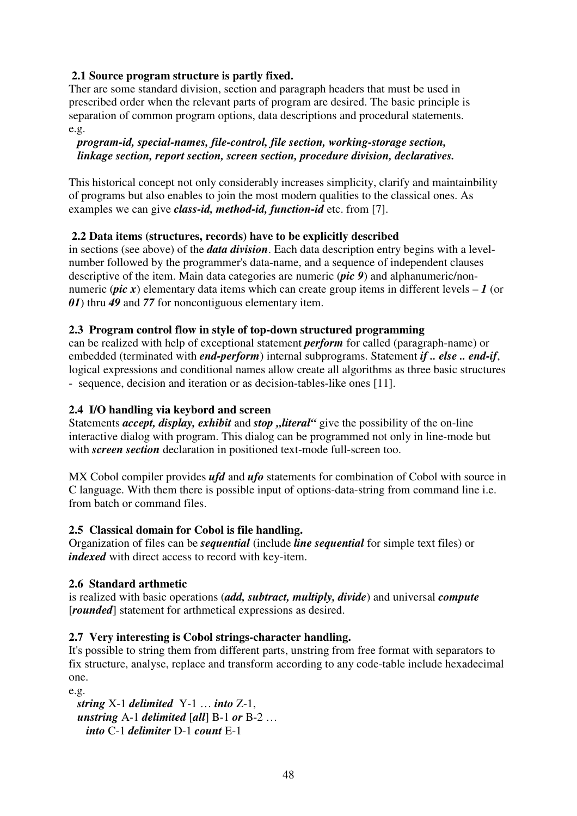## **2.1 Source program structure is partly fixed.**

Ther are some standard division, section and paragraph headers that must be used in prescribed order when the relevant parts of program are desired. The basic principle is separation of common program options, data descriptions and procedural statements. e.g.

#### *program-id, special-names, file-control, file section, working-storage section, linkage section, report section, screen section, procedure division, declaratives.*

This historical concept not only considerably increases simplicity, clarify and maintainbility of programs but also enables to join the most modern qualities to the classical ones. As examples we can give *class-id, method-id, function-id* etc. from [7].

## **2.2 Data items (structures, records) have to be explicitly described**

in sections (see above) of the *data division*. Each data description entry begins with a levelnumber followed by the programmer's data-name, and a sequence of independent clauses descriptive of the item. Main data categories are numeric (*pic 9*) and alphanumeric/nonnumeric (*pic x*) elementary data items which can create group items in different levels  $-1$  (or *01*) thru *49* and *77* for noncontiguous elementary item.

#### **2.3 Program control flow in style of top-down structured programming**

can be realized with help of exceptional statement *perform* for called (paragraph-name) or embedded (terminated with *end-perform*) internal subprograms. Statement *if .. else .. end-if*, logical expressions and conditional names allow create all algorithms as three basic structures - sequence, decision and iteration or as decision-tables-like ones [11].

#### **2.4 I/O handling via keybord and screen**

Statements *accept, display, exhibit* and *stop* "*literal*" give the possibility of the on-line interactive dialog with program. This dialog can be programmed not only in line-mode but with *screen section* declaration in positioned text-mode full-screen too.

MX Cobol compiler provides *ufd* and *ufo* statements for combination of Cobol with source in C language. With them there is possible input of options-data-string from command line i.e. from batch or command files.

#### **2.5 Classical domain for Cobol is file handling.**

Organization of files can be *sequential* (include *line sequential* for simple text files) or *indexed* with direct access to record with key-item.

#### **2.6 Standard arthmetic**

is realized with basic operations (*add, subtract, multiply, divide*) and universal *compute*  [*rounded*] statement for arthmetical expressions as desired.

#### **2.7 Very interesting is Cobol strings-character handling.**

It's possible to string them from different parts, unstring from free format with separators to fix structure, analyse, replace and transform according to any code-table include hexadecimal one.

e.g.

 *string* X-1 *delimited* Y-1 … *into* Z-1, *unstring* A-1 *delimited* [*all*] B-1 *or* B-2 … *into* C-1 *delimiter* D-1 *count* E-1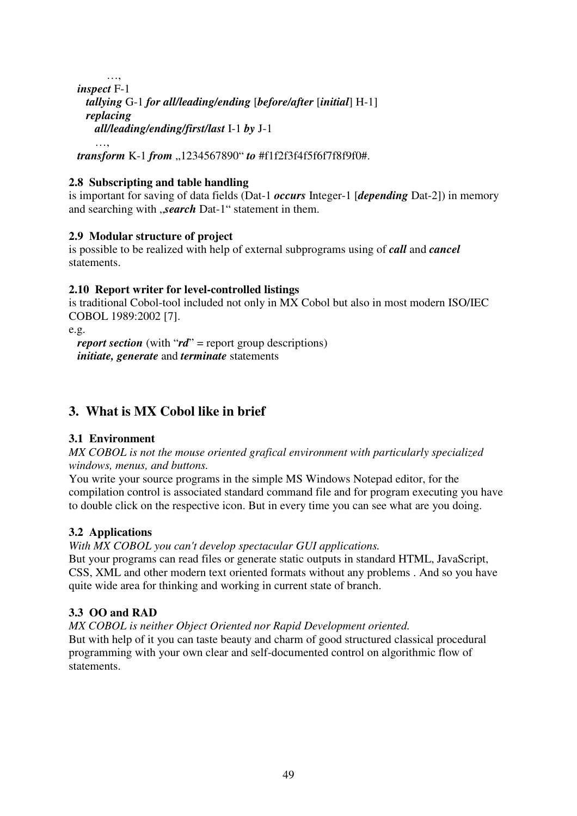…, *inspect* F-1 *tallying* G-1 *for all/leading/ending* [*before/after* [*initial*] H-1] *replacing all/leading/ending/first/last* I-1 *by* J-1 …,

*transform* K-1 *from* ..1234567890" *to* #f1f2f3f4f5f6f7f8f9f0#.

#### **2.8 Subscripting and table handling**

is important for saving of data fields (Dat-1 *occurs* Integer-1 [*depending* Dat-2]) in memory and searching with *search* Dat-1" statement in them.

#### **2.9 Modular structure of project**

is possible to be realized with help of external subprograms using of *call* and *cancel* statements.

#### **2.10 Report writer for level-controlled listings**

is traditional Cobol-tool included not only in MX Cobol but also in most modern ISO/IEC COBOL 1989:2002 [7].

e.g.

*report section* (with "*rd*" = report group descriptions) *initiate, generate* and *terminate* statements

# **3. What is MX Cobol like in brief**

#### **3.1 Environment**

*MX COBOL is not the mouse oriented grafical environment with particularly specialized windows, menus, and buttons.* 

You write your source programs in the simple MS Windows Notepad editor, for the compilation control is associated standard command file and for program executing you have to double click on the respective icon. But in every time you can see what are you doing.

#### **3.2 Applications**

#### *With MX COBOL you can't develop spectacular GUI applications.*

But your programs can read files or generate static outputs in standard HTML, JavaScript, CSS, XML and other modern text oriented formats without any problems . And so you have quite wide area for thinking and working in current state of branch.

#### **3.3 OO and RAD**

*MX COBOL is neither Object Oriented nor Rapid Development oriented.*  But with help of it you can taste beauty and charm of good structured classical procedural programming with your own clear and self-documented control on algorithmic flow of statements.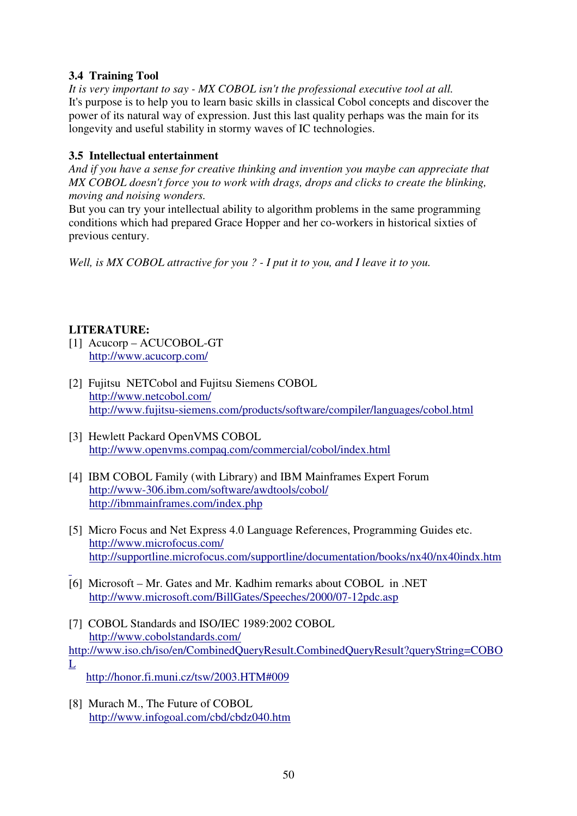## **3.4 Training Tool**

*It is very important to say - MX COBOL isn't the professional executive tool at all.*  It's purpose is to help you to learn basic skills in classical Cobol concepts and discover the power of its natural way of expression. Just this last quality perhaps was the main for its longevity and useful stability in stormy waves of IC technologies.

## **3.5 Intellectual entertainment**

*And if you have a sense for creative thinking and invention you maybe can appreciate that MX COBOL doesn't force you to work with drags, drops and clicks to create the blinking, moving and noising wonders.* 

But you can try your intellectual ability to algorithm problems in the same programming conditions which had prepared Grace Hopper and her co-workers in historical sixties of previous century.

*Well, is MX COBOL attractive for you ? - I put it to you, and I leave it to you.* 

## **LITERATURE:**

- [1] Acucorp ACUCOBOL-GT http://www.acucorp.com/
- [2] Fujitsu NETCobol and Fujitsu Siemens COBOL http://www.netcobol.com/ http://www.fujitsu-siemens.com/products/software/compiler/languages/cobol.html
- [3] Hewlett Packard OpenVMS COBOL http://www.openvms.compaq.com/commercial/cobol/index.html
- [4] IBM COBOL Family (with Library) and IBM Mainframes Expert Forum http://www-306.ibm.com/software/awdtools/cobol/ http://ibmmainframes.com/index.php
- [5] Micro Focus and Net Express 4.0 Language References, Programming Guides etc. http://www.microfocus.com/ http://supportline.microfocus.com/supportline/documentation/books/nx40/nx40indx.htm
- [6] Microsoft Mr. Gates and Mr. Kadhim remarks about COBOL in .NET http://www.microsoft.com/BillGates/Speeches/2000/07-12pdc.asp
- [7] COBOL Standards and ISO/IEC 1989:2002 COBOL http://www.cobolstandards.com/ http://www.iso.ch/iso/en/CombinedQueryResult.CombinedQueryResult?queryString=COBO L
	- http://honor.fi.muni.cz/tsw/2003.HTM#009
- [8] Murach M., The Future of COBOL http://www.infogoal.com/cbd/cbdz040.htm